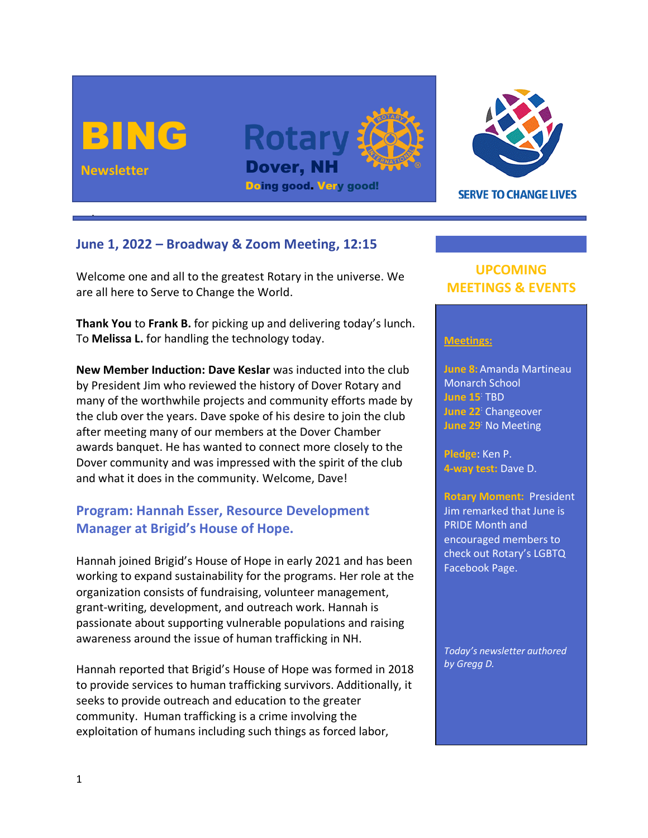



**SERVE TO CHANGE LIVES** 

### **June 1, 2022 – Broadway & Zoom Meeting, 12:15**

Welcome one and all to the greatest Rotary in the universe. We are all here to Serve to Change the World.

**Thank You** to **Frank B.** for picking up and delivering today's lunch. To **Melissa L.** for handling the technology today.

**New Member Induction: Dave Keslar** was inducted into the club by President Jim who reviewed the history of Dover Rotary and many of the worthwhile projects and community efforts made by the club over the years. Dave spoke of his desire to join the club after meeting many of our members at the Dover Chamber awards banquet. He has wanted to connect more closely to the Dover community and was impressed with the spirit of the club and what it does in the community. Welcome, Dave!

# **Program: Hannah Esser, Resource Development Manager at Brigid's House of Hope.**

Hannah joined Brigid's House of Hope in early 2021 and has been working to expand sustainability for the programs. Her role at the organization consists of fundraising, volunteer management, grant-writing, development, and outreach work. Hannah is passionate about supporting vulnerable populations and raising awareness around the issue of human trafficking in NH.

Hannah reported that Brigid's House of Hope was formed in 2018 to provide services to human trafficking survivors. Additionally, it seeks to provide outreach and education to the greater community. Human trafficking is a crime involving the exploitation of humans including such things as forced labor,

# **UPCOMING MEETINGS & EVENTS**

#### **Meetings:**

**June 8:** Amanda Martineau Monarch School **June 15**: TBD **June 22**: Changeover **June 29**: No Meeting

**Pledge**: Ken P. **4-way test:** Dave D.

**Rotary Moment:** President Jim remarked that June is PRIDE Month and encouraged members to check out Rotary's LGBTQ Facebook Page.

*Today's newsletter authored by Gregg D.*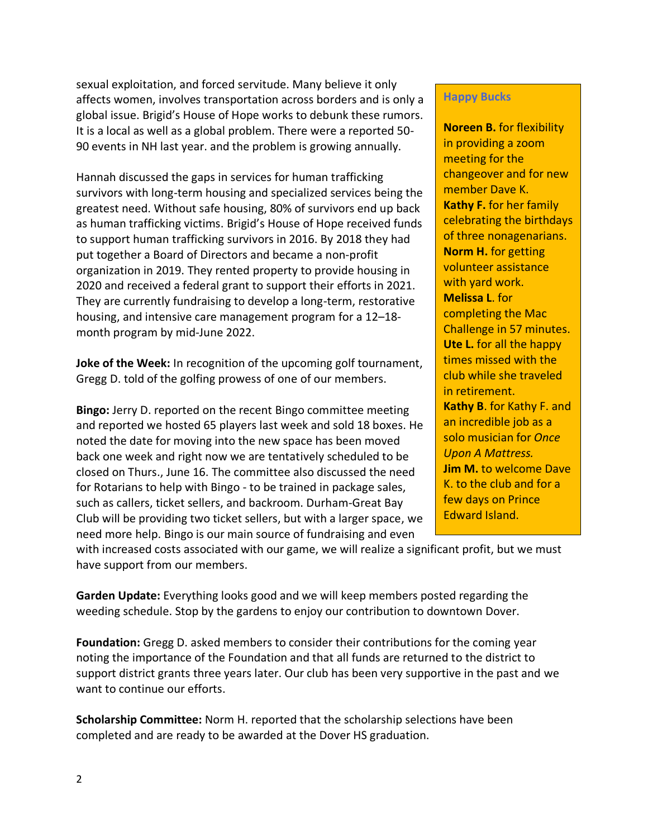sexual exploitation, and forced servitude. Many believe it only affects women, involves transportation across borders and is only a global issue. Brigid's House of Hope works to debunk these rumors. It is a local as well as a global problem. There were a reported 50- 90 events in NH last year. and the problem is growing annually.

Hannah discussed the gaps in services for human trafficking survivors with long-term housing and specialized services being the greatest need. Without safe housing, 80% of survivors end up back as human trafficking victims. Brigid's House of Hope received funds to support human trafficking survivors in 2016. By 2018 they had put together a Board of Directors and became a non-profit organization in 2019. They rented property to provide housing in 2020 and received a federal grant to support their efforts in 2021. They are currently fundraising to develop a long-term, restorative housing, and intensive care management program for a 12–18 month program by mid-June 2022.

**Joke of the Week:** In recognition of the upcoming golf tournament, Gregg D. told of the golfing prowess of one of our members.

**Bingo:** Jerry D. reported on the recent Bingo committee meeting and reported we hosted 65 players last week and sold 18 boxes. He noted the date for moving into the new space has been moved back one week and right now we are tentatively scheduled to be closed on Thurs., June 16. The committee also discussed the need for Rotarians to help with Bingo - to be trained in package sales, such as callers, ticket sellers, and backroom. Durham-Great Bay Club will be providing two ticket sellers, but with a larger space, we need more help. Bingo is our main source of fundraising and even

#### **Happy Bucks**

**Noreen B.** for flexibility in providing a zoom meeting for the changeover and for new member Dave K. **Kathy F.** for her family celebrating the birthdays of three nonagenarians. **Norm H.** for getting volunteer assistance with yard work. **Melissa L**. for completing the Mac Challenge in 57 minutes. **Ute L.** for all the happy times missed with the club while she traveled in retirement. **Kathy B**. for Kathy F. and an incredible job as a solo musician for *Once Upon A Mattress.*

**Jim M.** to welcome Dave K. to the club and for a few days on Prince Edward Island.

with increased costs associated with our game, we will realize a significant profit, but we must have support from our members.

**Garden Update:** Everything looks good and we will keep members posted regarding the weeding schedule. Stop by the gardens to enjoy our contribution to downtown Dover.

**Foundation:** Gregg D. asked members to consider their contributions for the coming year noting the importance of the Foundation and that all funds are returned to the district to support district grants three years later. Our club has been very supportive in the past and we want to continue our efforts.

**Scholarship Committee:** Norm H. reported that the scholarship selections have been completed and are ready to be awarded at the Dover HS graduation.